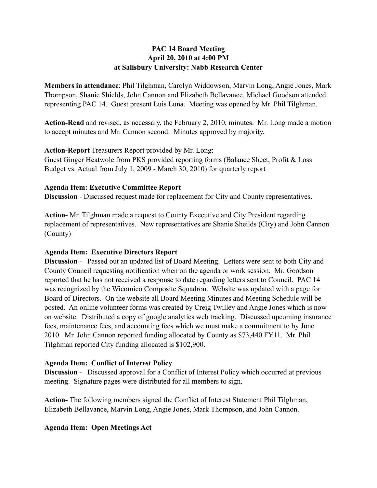### **PAC 14 Board Meeting April 20, 2010 at 4:00 PM at Salisbury University: Nabb Research Center**

**Members in attendance**: Phil Tilghman, Carolyn Widdowson, Marvin Long, Angie Jones, Mark Thompson, Shanie Shields, John Cannon and Elizabeth Bellavance. Michael Goodson attended representing PAC 14. Guest present Luis Luna. Meeting was opened by Mr. Phil Tilghman.

**Action-Read** and revised, as necessary, the February 2, 2010, minutes. Mr. Long made a motion to accept minutes and Mr. Cannon second. Minutes approved by majority.

### **Action-Report** Treasurers Report provided by Mr. Long:

Guest Ginger Heatwole from PKS provided reporting forms (Balance Sheet, Profit & Loss Budget vs. Actual from July 1, 2009 - March 30, 2010) for quarterly report

### **Agenda Item: Executive Committee Report**

**Discussion** - Discussed request made for replacement for City and County representatives.

**Action-** Mr. Tilghman made a request to County Executive and City President regarding replacement of representatives. New representatives are Shanie Sheilds (City) and John Cannon (County)

# **Agenda Item: Executive Directors Report**

**Discussion** - Passed out an updated list of Board Meeting. Letters were sent to both City and County Council requesting notification when on the agenda or work session. Mr. Goodson reported that he has not received a response to date regarding letters sent to Council. PAC 14 was recognized by the Wicomico Composite Squadron. Website was updated with a page for Board of Directors. On the website all Board Meeting Minutes and Meeting Schedule will be posted. An online volunteer forms was created by Creig Twilley and Angie Jones which is now on website. Distributed a copy of google analytics web tracking. Discussed upcoming insurance fees, maintenance fees, and accounting fees which we must make a commitment to by June 2010. Mr. John Cannon reported funding allocated by County as \$73,440 FY11. Mr. Phil Tilghman reported City funding allocated is \$102,900.

#### **Agenda Item: Conflict of Interest Policy**

**Discussion** - Discussed approval for a Conflict of Interest Policy which occurred at previous meeting. Signature pages were distributed for all members to sign.

**Action-** The following members signed the Conflict of Interest Statement Phil Tilghman, Elizabeth Bellavance, Marvin Long, Angie Jones, Mark Thompson, and John Cannon.

# **Agenda Item: Open Meetings Act**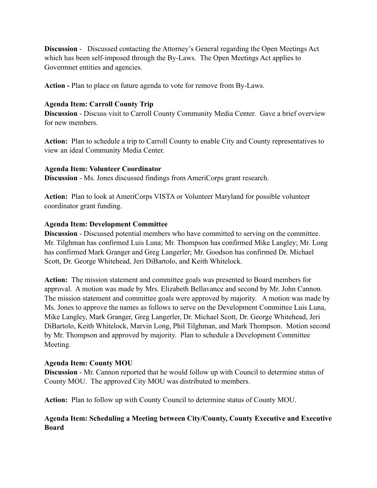**Discussion** - Discussed contacting the Attorney's General regarding the Open Meetings Act which has been self-imposed through the By-Laws. The Open Meetings Act applies to Govermnet entities and agencies.

**Action -** Plan to place on future agenda to vote for remove from By-Laws.

## **Agenda Item: Carroll County Trip**

**Discussion** - Discuss visit to Carroll County Community Media Center. Gave a brief overview for new members.

**Action:** Plan to schedule a trip to Carroll County to enable City and County representatives to view an ideal Community Media Center.

#### **Agenda Item: Volunteer Coordinator**

**Discussion** - Ms. Jones discussed findings from AmeriCorps grant research.

**Action:** Plan to look at AmeriCorps VISTA or Volunteer Maryland for possible volunteer coordinator grant funding.

### **Agenda Item: Development Committee**

**Discussion** - Discussed potential members who have committed to serving on the committee. Mr. Tilghman has confirmed Luis Luna; Mr. Thompson has confirmed Mike Langley; Mr. Long has confirmed Mark Granger and Greg Langerler; Mr. Goodson has confirmed Dr. Michael Scott, Dr. George Whitehead, Jeri DiBartolo, and Keith Whitelock.

**Action:** The mission statement and committee goals was presented to Board members for approval. A motion was made by Mrs. Elizabeth Bellavance and second by Mr. John Cannon. The mission statement and committee goals were approved by majority. A motion was made by Ms. Jones to approve the names as follows to serve on the Development Committee Luis Luna, Mike Langley, Mark Granger, Greg Langerler, Dr. Michael Scott, Dr. George Whitehead, Jeri DiBartolo, Keith Whitelock, Marvin Long, Phil Tilghman, and Mark Thompson. Motion second by Mr. Thompson and approved by majority. Plan to schedule a Development Committee Meeting.

# **Agenda Item: County MOU**

**Discussion** - Mr. Cannon reported that he would follow up with Council to determine status of County MOU. The approved City MOU was distributed to members.

**Action:** Plan to follow up with County Council to determine status of County MOU.

### **Agenda Item: Scheduling a Meeting between City/County, County Executive and Executive Board**